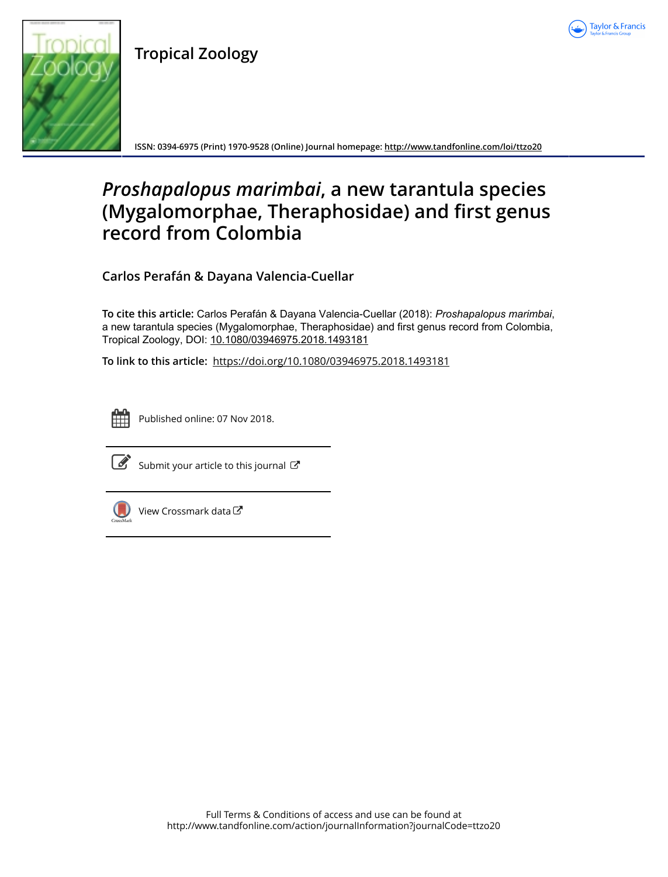

**Tropical Zoology**



**ISSN: 0394-6975 (Print) 1970-9528 (Online) Journal homepage:<http://www.tandfonline.com/loi/ttzo20>**

# *Proshapalopus marimbai***, a new tarantula species (Mygalomorphae, Theraphosidae) and first genus record from Colombia**

**Carlos Perafán & Dayana Valencia-Cuellar**

**To cite this article:** Carlos Perafán & Dayana Valencia-Cuellar (2018): *Proshapalopusmarimbai*, a new tarantula species (Mygalomorphae, Theraphosidae) and first genus record from Colombia, Tropical Zoology, DOI: [10.1080/03946975.2018.1493181](http://www.tandfonline.com/action/showCitFormats?doi=10.1080/03946975.2018.1493181)

**To link to this article:** <https://doi.org/10.1080/03946975.2018.1493181>



Published online: 07 Nov 2018.



 $\overrightarrow{S}$  [Submit your article to this journal](http://www.tandfonline.com/action/authorSubmission?journalCode=ttzo20&show=instructions)  $\overrightarrow{S}$ 



 $\bigcirc$  [View Crossmark data](http://crossmark.crossref.org/dialog/?doi=10.1080/03946975.2018.1493181&domain=pdf&date_stamp=2018-11-07) $\mathbb{Z}$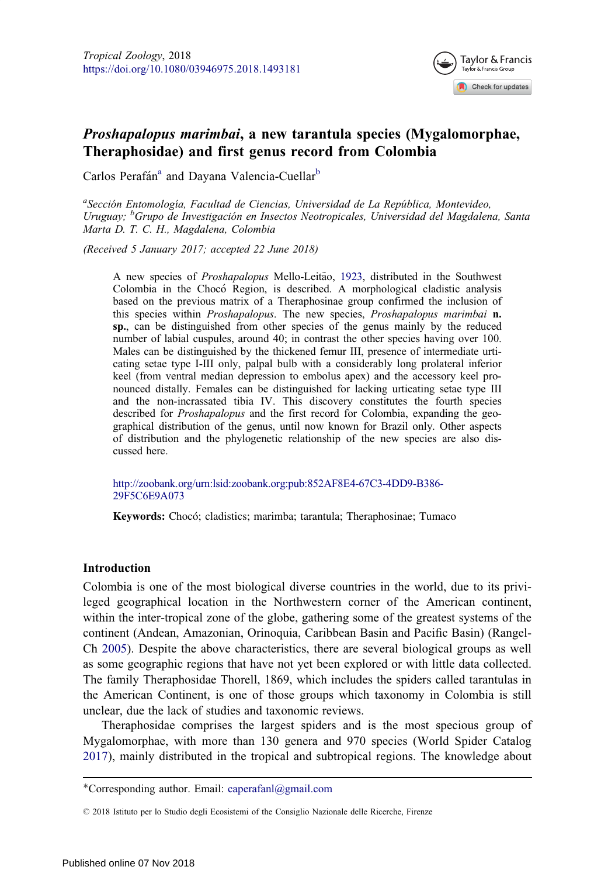

# <span id="page-1-0"></span>Proshapalopus marimbai, a new tarantula species (Mygalomorphae, Theraphosidae) and first genus record from Colombia

Carlos Perafán<sup>a</sup> and Dayana Valencia-Cuellar<sup>b</sup>

<sup>a</sup>Sección Entomología, Facultad de Ciencias, Universidad de La República, Montevideo, Uruguay; <sup>b</sup>Grupo de Investigación en Insectos Neotropicales, Universidad del Magdalena, Santa Marta D. T. C. H., Magdalena, Colombia

(Received 5 January 2017; accepted 22 June 2018)

A new species of *Proshapalopus* Mello-Leitão, [1923,](#page-13-0) distributed in the Southwest Colombia in the Choco Region, is described. A morphological cladistic analysis based on the previous matrix of a Theraphosinae group confirmed the inclusion of this species within *Proshapalopus*. The new species, *Proshapalopus marimbai* **n.** sp., can be distinguished from other species of the genus mainly by the reduced number of labial cuspules, around 40; in contrast the other species having over 100. Males can be distinguished by the thickened femur III, presence of intermediate urticating setae type I-III only, palpal bulb with a considerably long prolateral inferior keel (from ventral median depression to embolus apex) and the accessory keel pronounced distally. Females can be distinguished for lacking urticating setae type III and the non-incrassated tibia IV. This discovery constitutes the fourth species described for *Proshapalopus* and the first record for Colombia, expanding the geographical distribution of the genus, until now known for Brazil only. Other aspects of distribution and the phylogenetic relationship of the new species are also discussed here.

[http://zoobank.org/urn:lsid:zoobank.org:pub:852AF8E4-67C3-4DD9-B386-](http://zoobank.org/urn:lsid:zoobank.org:pub:852AF8E4-67C3-4DD9-B386-29F5C6E9A073) [29F5C6E9A073](http://zoobank.org/urn:lsid:zoobank.org:pub:852AF8E4-67C3-4DD9-B386-29F5C6E9A073)

Keywords: Chocó; cladistics; marimba; tarantula; Theraphosinae; Tumaco

#### Introduction

Colombia is one of the most biological diverse countries in the world, due to its privileged geographical location in the Northwestern corner of the American continent, within the inter-tropical zone of the globe, gathering some of the greatest systems of the continent (Andean, Amazonian, Orinoquia, Caribbean Basin and Pacific Basin) (Rangel-Ch [2005\)](#page-13-0). Despite the above characteristics, there are several biological groups as well as some geographic regions that have not yet been explored or with little data collected. The family Theraphosidae Thorell, 1869, which includes the spiders called tarantulas in the American Continent, is one of those groups which taxonomy in Colombia is still unclear, due the lack of studies and taxonomic reviews.

Theraphosidae comprises the largest spiders and is the most specious group of Mygalomorphae, with more than 130 genera and 970 species (World Spider Catalog [2017\)](#page-14-0), mainly distributed in the tropical and subtropical regions. The knowledge about

<sup>\*</sup>Corresponding author. Email: caperafanl@gmail.com

2018 Istituto per lo Studio degli Ecosistemi of the Consiglio Nazionale delle Ricerche, Firenze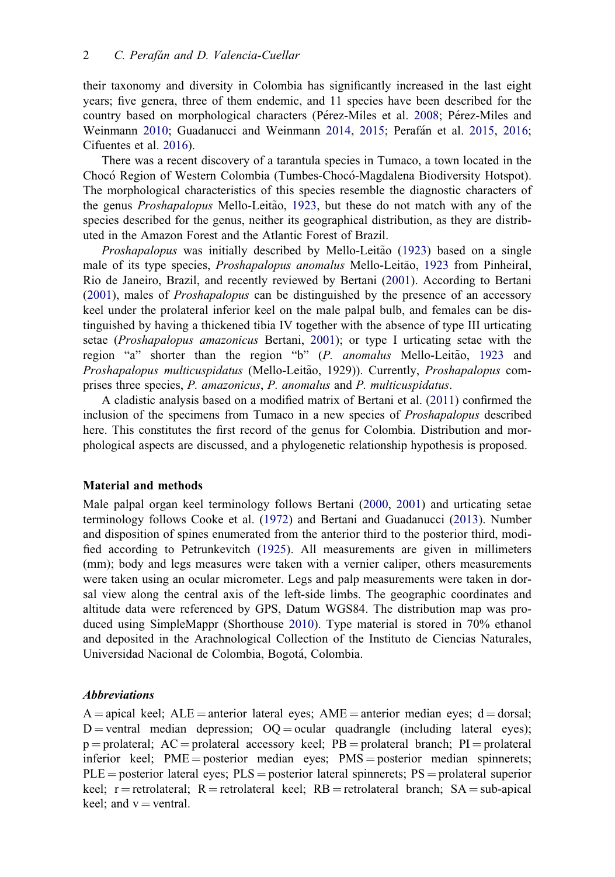<span id="page-2-0"></span>their taxonomy and diversity in Colombia has significantly increased in the last eight years; five genera, three of them endemic, and 11 species have been described for the country based on morphological characters (Pérez-Miles et al. [2008](#page-13-0); Pérez-Miles and Weinmann [2010;](#page-13-0) Guadanucci and Weinmann [2014,](#page-13-0) [2015;](#page-13-0) Perafan et al. [2015,](#page-13-0) [2016;](#page-13-0) Cifuentes et al. [2016\)](#page-13-0).

There was a recent discovery of a tarantula species in Tumaco, a town located in the Choco Region of Western Colombia (Tumbes-Choco-Magdalena Biodiversity Hotspot). The morphological characteristics of this species resemble the diagnostic characters of the genus *Proshapalopus* Mello-Leitão, [1923](#page-13-0), but these do not match with any of the species described for the genus, neither its geographical distribution, as they are distributed in the Amazon Forest and the Atlantic Forest of Brazil.

*Proshapalopus* was initially described by Mello-Leitão ([1923\)](#page-13-0) based on a single male of its type species, *Proshapalopus anomalus* Mello-Leitão, [1923](#page-13-0) from Pinheiral, Rio de Janeiro, Brazil, and recently reviewed by Bertani ([2001\)](#page-13-0). According to Bertani ([2001\)](#page-13-0), males of Proshapalopus can be distinguished by the presence of an accessory keel under the prolateral inferior keel on the male palpal bulb, and females can be distinguished by having a thickened tibia IV together with the absence of type III urticating setae (Proshapalopus amazonicus Bertani, [2001](#page-13-0)); or type I urticating setae with the region "a" shorter than the region "b" (P. anomalus Mello-Leitão, [1923](#page-13-0) and Proshapalopus multicuspidatus (Mello-Leitão, 1929)). Currently, Proshapalopus comprises three species, P. amazonicus, P. anomalus and P. multicuspidatus.

A cladistic analysis based on a modified matrix of Bertani et al. [\(2011\)](#page-13-0) confirmed the inclusion of the specimens from Tumaco in a new species of Proshapalopus described here. This constitutes the first record of the genus for Colombia. Distribution and morphological aspects are discussed, and a phylogenetic relationship hypothesis is proposed.

#### Material and methods

Male palpal organ keel terminology follows Bertani ([2000](#page-13-0), [2001](#page-13-0)) and urticating setae terminology follows Cooke et al. ([1972\)](#page-13-0) and Bertani and Guadanucci [\(2013\)](#page-13-0). Number and disposition of spines enumerated from the anterior third to the posterior third, modified according to Petrunkevitch ([1925\)](#page-13-0). All measurements are given in millimeters (mm); body and legs measures were taken with a vernier caliper, others measurements were taken using an ocular micrometer. Legs and palp measurements were taken in dorsal view along the central axis of the left-side limbs. The geographic coordinates and altitude data were referenced by GPS, Datum WGS84. The distribution map was produced using SimpleMappr (Shorthouse [2010\)](#page-14-0). Type material is stored in 70% ethanol and deposited in the Arachnological Collection of the Instituto de Ciencias Naturales, Universidad Nacional de Colombia, Bogota, Colombia.

#### Abbreviations

 $A =$  apical keel;  $ALE =$  anterior lateral eyes;  $AME =$  anterior median eyes; d = dorsal;  $D =$ ventral median depression;  $OQ =$ ocular quadrangle (including lateral eyes);  $p =$ prolateral; AC = prolateral accessory keel; PB = prolateral branch; PI = prolateral inferior keel;  $PME = posterior$  median eyes;  $PMS = posterior$  median spinnerets;  $PLE = posterior$  lateral eyes;  $PLS = posterior$  lateral spinnerets;  $PS = product$  superior keel;  $r =$  retrolateral;  $R =$  retrolateral keel;  $RB =$  retrolateral branch;  $SA =$  sub-apical keel; and  $v =$  ventral.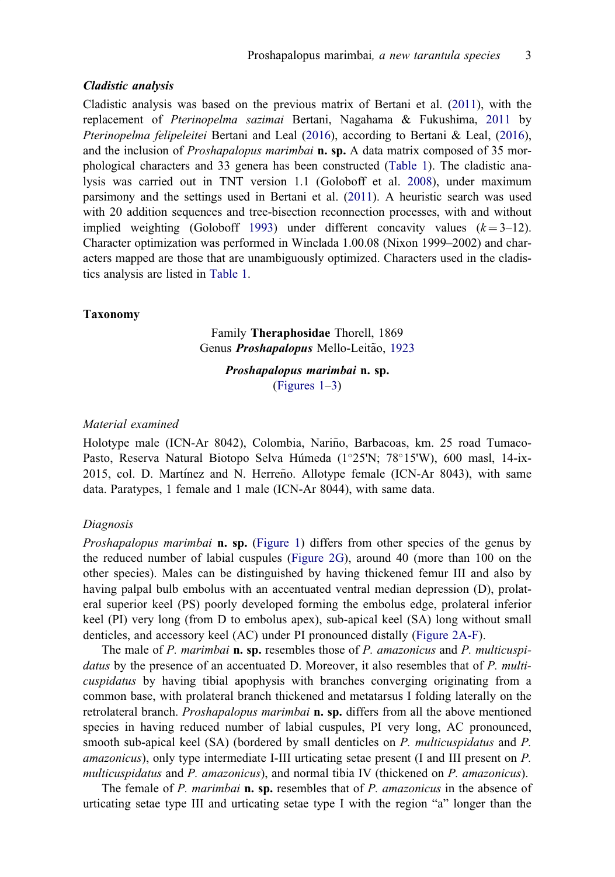# <span id="page-3-0"></span>Cladistic analysis

Cladistic analysis was based on the previous matrix of Bertani et al. ([2011](#page-13-0)), with the replacement of Pterinopelma sazimai Bertani, Nagahama & Fukushima, [2011](#page-13-0) by Pterinopelma felipeleitei Bertani and Leal ([2016](#page-13-0)), according to Bertani & Leal, [\(2016\)](#page-13-0), and the inclusion of *Proshapalopus marimbai* **n. sp.** A data matrix composed of 35 morphological characters and 33 genera has been constructed ([Table 1](#page-4-0)). The cladistic analysis was carried out in TNT version 1.1 (Goloboff et al. [2008\)](#page-13-0), under maximum parsimony and the settings used in Bertani et al. [\(2011\)](#page-13-0). A heuristic search was used with 20 addition sequences and tree-bisection reconnection processes, with and without implied weighting (Goloboff [1993](#page-13-0)) under different concavity values  $(k=3-12)$ . Character optimization was performed in Winclada 1.00.08 (Nixon 1999–2002) and characters mapped are those that are unambiguously optimized. Characters used in the cladistics analysis are listed in [Table 1.](#page-4-0)

#### Taxonomy

Family Theraphosidae Thorell, 1869 Genus Proshapalopus Mello-Leitão, [1923](#page-13-0)

> Proshapalopus marimbai n. sp. (Figures 1–3)

#### Material examined

Holotype male (ICN-Ar 8042), Colombia, Nariño, Barbacoas, km. 25 road Tumaco-Pasto, Reserva Natural Biotopo Selva Húmeda (1°25'N; 78°15'W), 600 masl, 14-ix- $2015$ , col. D. Martínez and N. Herreño. Allotype female (ICN-Ar 8043), with same data. Paratypes, 1 female and 1 male (ICN-Ar 8044), with same data.

#### Diagnosis

Proshapalopus marimbai n. sp. (Figure 1) differs from other species of the genus by the reduced number of labial cuspules (Figure 2G), around 40 (more than 100 on the other species). Males can be distinguished by having thickened femur III and also by having palpal bulb embolus with an accentuated ventral median depression (D), prolateral superior keel (PS) poorly developed forming the embolus edge, prolateral inferior keel (PI) very long (from D to embolus apex), sub-apical keel (SA) long without small denticles, and accessory keel (AC) under PI pronounced distally (Figure 2A-F).

The male of P. marimbai **n. sp.** resembles those of P. amazonicus and P. multicuspidatus by the presence of an accentuated D. Moreover, it also resembles that of  $P$ . multicuspidatus by having tibial apophysis with branches converging originating from a common base, with prolateral branch thickened and metatarsus I folding laterally on the retrolateral branch. *Proshapalopus marimbai* **n. sp.** differs from all the above mentioned species in having reduced number of labial cuspules, PI very long, AC pronounced, smooth sub-apical keel (SA) (bordered by small denticles on P. multicuspidatus and P. amazonicus), only type intermediate I-III urticating setae present (I and III present on P. multicuspidatus and P. amazonicus), and normal tibia IV (thickened on P. amazonicus).

The female of P. marimbai **n. sp.** resembles that of P. amazonicus in the absence of urticating setae type III and urticating setae type I with the region "a" longer than the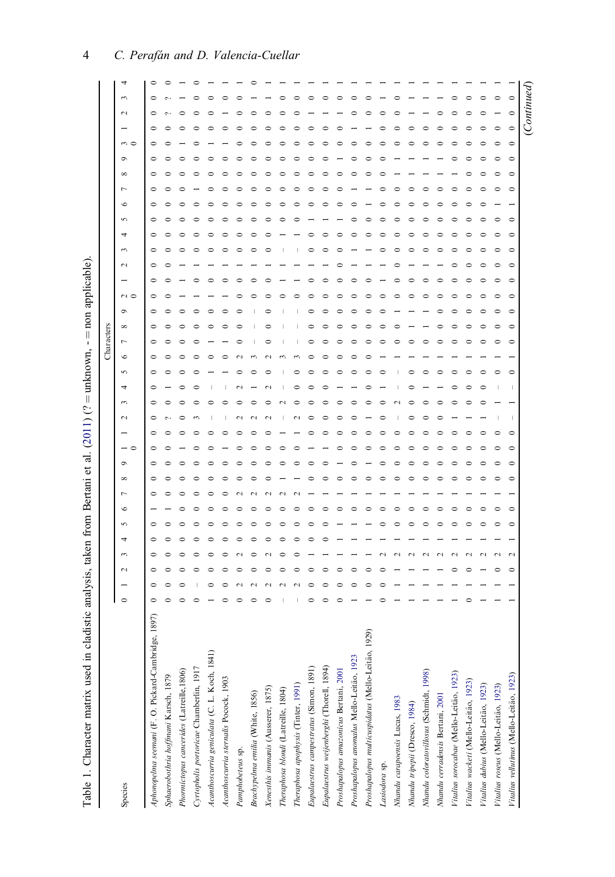| to come come an<br>֧ׅ֧ׅ֧ׅ֧֚֚֚֚֚֚֚֚֚֚֚֚֚֚֚֚֚֚֚֚֚֚֚֚֚֚֡֝֡֜֜֓֝ |
|-------------------------------------------------------------|
|                                                             |
|                                                             |
|                                                             |
|                                                             |
|                                                             |
| i                                                           |
| I                                                           |
|                                                             |
|                                                             |
|                                                             |
| $-1 - 1$                                                    |
|                                                             |
|                                                             |
| i                                                           |
| $\overline{1}$                                              |
| i                                                           |
|                                                             |
| Ï                                                           |
|                                                             |
|                                                             |
|                                                             |
| ׇ֚֘֝֬                                                       |
| ׇ֚֘֝֬                                                       |
|                                                             |
|                                                             |
| ֖֖ׅׅׅ֖֚֚֚֚֚֚֚֚֚֚֚֚֚֚֚֚֚֚֚֚֚֚֡֡֡֬֡֡֡֡֡֡֡֡֡֡֬֝                |
|                                                             |
|                                                             |
|                                                             |
|                                                             |
|                                                             |
|                                                             |
|                                                             |
|                                                             |
|                                                             |
|                                                             |
|                                                             |
| I                                                           |
|                                                             |
|                                                             |
|                                                             |
|                                                             |
| $-20$                                                       |
|                                                             |
|                                                             |
|                                                             |
|                                                             |
|                                                             |
|                                                             |
|                                                             |
|                                                             |
|                                                             |
|                                                             |
|                                                             |
|                                                             |
|                                                             |
|                                                             |
|                                                             |
|                                                             |
|                                                             |
|                                                             |
|                                                             |
|                                                             |
|                                                             |
|                                                             |
|                                                             |
|                                                             |
|                                                             |
|                                                             |
|                                                             |
|                                                             |
|                                                             |
|                                                             |
|                                                             |
|                                                             |
|                                                             |
|                                                             |
|                                                             |
|                                                             |
|                                                             |
|                                                             |
|                                                             |
|                                                             |
| ć                                                           |
|                                                             |
| l                                                           |
|                                                             |
|                                                             |
|                                                             |
| तेश<br>j<br>F                                               |

<span id="page-4-0"></span>

| Table 1. Character matrix used in cladistic analysis, taken from Bertani et al. (2011) (? = unknown, - = non applicable) |         |        |        |  |   |                      |  |        |        |          |   |            |          |   |               |  |        |   |   |   |  |          |                  |             |         |  |
|--------------------------------------------------------------------------------------------------------------------------|---------|--------|--------|--|---|----------------------|--|--------|--------|----------|---|------------|----------|---|---------------|--|--------|---|---|---|--|----------|------------------|-------------|---------|--|
|                                                                                                                          |         |        |        |  |   |                      |  |        |        |          |   | Characters |          |   |               |  |        |   |   |   |  |          |                  |             |         |  |
| Species                                                                                                                  | $\circ$ | $\sim$ | $\sim$ |  | c | $\sigma$<br>$\infty$ |  | $\sim$ | $\sim$ | $\Omega$ | G | ∼          | $\infty$ | ¢ | $\sim$ $\sim$ |  | $\sim$ | ᆉ | S | c |  | $\infty$ | $m \subset$<br>o | $\sim$      |         |  |
| (5)<br>Aphonopelma seemani (F. O. Pickard-Cambridge, 18                                                                  |         |        |        |  |   |                      |  |        |        |          |   |            |          |   |               |  |        |   |   |   |  |          |                  |             |         |  |
| Sphaerobothria hoffmani Karsch, 1879                                                                                     |         |        |        |  |   |                      |  |        |        |          |   |            |          |   |               |  |        |   |   |   |  |          |                  |             |         |  |
| Phormictopus cancerides (Latreille, 1806)                                                                                |         |        |        |  |   |                      |  |        |        |          |   |            |          |   |               |  |        |   |   |   |  |          |                  |             |         |  |
| Cyrtopholis portoricae Chamberlin, 1917                                                                                  |         |        |        |  |   |                      |  |        |        |          |   |            |          |   |               |  |        |   |   |   |  |          |                  |             |         |  |
| Acanthoscurria geniculata (C. L. Koch, 1841)                                                                             |         |        |        |  |   |                      |  |        |        |          |   |            |          |   |               |  |        |   |   |   |  |          |                  |             |         |  |
| Acanthoscurria sternalis Pocock, 1903                                                                                    |         |        |        |  |   |                      |  |        |        |          |   |            |          |   |               |  |        |   |   |   |  |          |                  |             |         |  |
| Pamphobeteus sp.                                                                                                         |         |        |        |  |   |                      |  |        |        |          |   |            |          |   |               |  |        |   |   |   |  |          |                  |             |         |  |
| Brachypelma emilia (White, 1856)                                                                                         |         |        |        |  |   |                      |  |        |        |          |   |            |          |   |               |  |        |   |   |   |  |          |                  |             |         |  |
| Xenesthis immanis (Ausserer, 1875)                                                                                       |         |        |        |  |   |                      |  |        |        |          |   |            |          |   |               |  |        |   |   |   |  |          |                  |             |         |  |
| Theraphosa blondi (Latreille, 1804)                                                                                      |         |        |        |  |   |                      |  |        |        |          |   |            |          |   |               |  |        |   |   |   |  |          |                  |             |         |  |
| Theraphosa apophysis (Tinter, 1991)                                                                                      |         |        |        |  |   |                      |  |        |        |          |   |            |          |   |               |  |        |   |   |   |  |          |                  |             |         |  |
| Eupalaestrus campestratus (Simon, 1891)                                                                                  |         |        |        |  |   |                      |  |        |        |          |   |            |          |   |               |  |        |   |   |   |  |          |                  |             |         |  |
| Eupalaestrus weijenberghi (Thorell, 1894)                                                                                |         |        |        |  |   |                      |  |        |        |          |   |            |          |   |               |  |        |   |   |   |  |          |                  |             |         |  |
| Proshapalopus amazonicus Bertani, 2001                                                                                   |         |        |        |  |   |                      |  |        |        |          |   |            |          |   |               |  |        |   |   |   |  |          |                  |             |         |  |
| Proshapalopus anomalus Mello-Leitão, 1923                                                                                |         |        |        |  |   |                      |  |        |        |          |   |            |          |   |               |  |        |   |   |   |  |          |                  |             |         |  |
| Proshapalopus multicuspidatus (Mello-Leitão, 1929)                                                                       |         |        |        |  |   |                      |  |        |        |          |   |            |          |   |               |  |        |   |   |   |  |          |                  |             |         |  |
| Lasiodora sp.                                                                                                            |         |        |        |  |   |                      |  |        |        |          |   |            |          |   |               |  |        |   |   |   |  |          |                  |             |         |  |
| Nhandu carapoensis Lucas, 1983                                                                                           |         |        |        |  |   |                      |  |        |        |          |   |            |          |   |               |  |        |   |   |   |  |          |                  |             |         |  |
| Nhandu tripepii (Dresco, 1984)                                                                                           |         |        |        |  |   |                      |  |        |        |          |   |            |          |   |               |  |        |   |   |   |  |          |                  |             |         |  |
| Nhandu coloratovillosus (Schmidt, 1998)                                                                                  |         |        |        |  |   |                      |  |        |        |          |   |            |          |   |               |  |        |   |   |   |  |          |                  |             |         |  |
| Nhandu cerradensis Bertani, 2001                                                                                         |         |        |        |  |   |                      |  |        |        |          |   |            |          |   |               |  |        |   |   |   |  |          |                  |             |         |  |
| Vitalius sorocabae (Mello-Leitão, 1923)                                                                                  |         |        |        |  |   |                      |  |        |        |          |   |            |          |   |               |  |        |   |   |   |  |          |                  |             |         |  |
| Vitalius wacketi (Mello-Leitão, 1923)                                                                                    |         |        |        |  |   |                      |  |        |        |          |   |            |          |   |               |  |        |   |   |   |  |          |                  |             |         |  |
| Vitalius dubius (Mello-Leitão, 1923)                                                                                     |         |        |        |  |   |                      |  |        |        |          |   |            |          |   |               |  |        |   |   |   |  |          |                  |             |         |  |
| Vitalius roseus (Mello-Leitão, 1923)                                                                                     |         |        |        |  |   |                      |  |        |        |          |   |            |          |   |               |  |        |   |   |   |  |          |                  |             | ⊂       |  |
| Vitalius vellutinus (Mello-Leitão, 1923)                                                                                 |         | ⊂      |        |  |   |                      |  |        |        |          |   |            |          |   |               |  |        |   |   |   |  |          |                  | $\circ$     | $\circ$ |  |
|                                                                                                                          |         |        |        |  |   |                      |  |        |        |          |   |            |          |   |               |  |        |   |   |   |  |          |                  | (Continued) |         |  |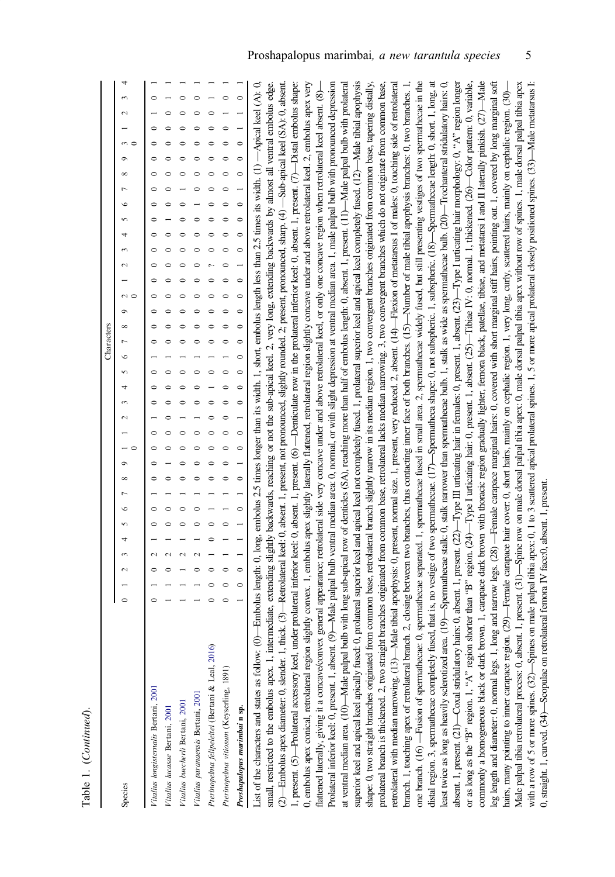|                                                                                             | Characters                                                                                                                                                                                                                                                                                                                                                                                          |
|---------------------------------------------------------------------------------------------|-----------------------------------------------------------------------------------------------------------------------------------------------------------------------------------------------------------------------------------------------------------------------------------------------------------------------------------------------------------------------------------------------------|
| Species                                                                                     | 4<br>3<br>$\sim$<br>$m \subset$<br>$\circ$<br>$\infty$<br>$\overline{ }$<br>$\circ$<br>$\mathcal{L}$<br>4<br>$\sim$<br>$\sim$<br>$\sim$<br>۰<br>${}^{\circ}$<br>1<br>$\circ$<br>$\sim$<br>4<br>$\sim$<br>$\sim$<br>ç<br>$\infty$<br>$\overline{ }$<br>$\circ$<br>5<br>4<br>3<br>$\sim$<br>$\circ$                                                                                                   |
| Vitalius longisternalis Bertani, 2001                                                       | $\circ$<br>$\circ$<br>$\circ$<br>$\circ$<br>$\circ$<br>0<br>0<br>0<br>$\circ$<br>$\circ$<br>$\circ$<br>$\circ$<br>$\circ$<br>$\circ$<br>0<br>$\circ$<br>0<br>$\circ$<br>$\circ$<br>$\circ$<br>$\circ$                                                                                                                                                                                               |
| Vitalius lucasae Bertani, 2001                                                              | $\circ$                                                                                                                                                                                                                                                                                                                                                                                             |
| Vitalius buecherli Bertani, 2001                                                            |                                                                                                                                                                                                                                                                                                                                                                                                     |
| Vitalius paranaensis Bertani, 2001                                                          | 0<br>0<br>0<br>0<br>$\circ$<br>0                                                                                                                                                                                                                                                                                                                                                                    |
| Pterinopelma felipeleitei (Bertani & Leal, 2016)                                            | $\circ$<br>⊂<br>$\circ$<br>$\sim$<br>$\circ$<br>$\circ$<br>$\mathbf{\hat{c}}$<br>$\circ$                                                                                                                                                                                                                                                                                                            |
| Pterinopelma vitiosum (Keyserling, 1891)                                                    | $\mathbf{\hat{c}}$<br>∊<br>$\epsilon$                                                                                                                                                                                                                                                                                                                                                               |
| Proshapalopus marimbai n sp.                                                                | $\mathbf{\circ}$<br>$\circ$<br>∊<br>$\circ$<br>$\circ$<br>$\circ$<br>$\circ$                                                                                                                                                                                                                                                                                                                        |
| List of the characters and states as follow: $(0)$                                          | Embolus length: 0, long, embolus 2.5 times longer than its width. 1, short, embolus length less than 2.5 times its width. $(1)$ —Apical keel $(A)$ : 0,                                                                                                                                                                                                                                             |
|                                                                                             | small, restricted to the embolus apex. 1, intermediate, extending siightly backwards, reaching or not the sub-apical keel. 2, very long, extending backwards by almost all ventral embolus edge.                                                                                                                                                                                                    |
|                                                                                             | (2)—Embolus apex diameter: 0, slender. 1, thick. (3)—Retrolateral keel: 0, absent. 1, present. not pronounced, slightly rounded. 2; present, pronounced, sharp. (4) —Sub-apical keel (SA): 0, absent.                                                                                                                                                                                               |
|                                                                                             | 1, present. (5)—Prolateral accessory keel, under prolateral inferior keel: 0, absent. 1, present. (6)—Denticulate row in the prolateral inferior keel: 0, absent. 1, present. (7)—Distal embolus shape:                                                                                                                                                                                             |
|                                                                                             | 0, embolus apex conical, retrolateral region slightly convex. 1, embolus apex slightly laterally flattened, retrolateral region slightly concave under and above retrolateral keel. 2, embolus apex very                                                                                                                                                                                            |
| flattened laterally, giving it a concave/convex                                             | general appearance; retrolateral side very concave under and above retrolateral keel, or only one concave region when retrolateral keel absent. (8)-                                                                                                                                                                                                                                                |
| Prolateral inferior keel: 0, present. 1, absent. (9)                                        | --Male palpal bulb ventral median area: 0, normal, or with slight depression at ventral median area. 1, male palpal bulb with pronounced depression                                                                                                                                                                                                                                                 |
|                                                                                             | at ventral median area. (10)—Male palpal bulb with long sub-apical row of denticles (SA), reaching more than half of embolus length: 0, absent. 1, present. (11)—Male palpal bulb with prolateral                                                                                                                                                                                                   |
|                                                                                             | superior keel and apical keel apically fused: 0, prolateral superior keel and apical keel not completely fused. 1, prolateral superior keel and apical keel completely fused. (12)—Male tibial apophysis                                                                                                                                                                                            |
|                                                                                             | shape: 0, two straight branches originated from common base, retrolateral branch slightly narrow in its median region. 1, two convergent branches originated from common base, tapering distally,<br>prolateral branch is thickened. 2, two straight branches originated from common base, retrolateral lacks median narrowing. 3, two convergent branches which do not originate from common base, |
|                                                                                             | retrolateral with median narrowing. (13)—Male tibial apophysis: 0, present, normal size. 1, present, very reduced. 2, absent. (14)—Hexion of metatarsus 1 of males: 0, touching side of retrolateral                                                                                                                                                                                                |
| branch. 1, touching apex of retrolateral branch.                                            | 2, closing between two branches, thus contacting inner face of both branches. $(15)$ —Number of male tibial apophysis branches. 0, two branches. 1,                                                                                                                                                                                                                                                 |
| one branch. $(16)$ —Fusion of spermathecae: 0,                                              | spermathecae separated. 1, spermathecae fused in small area 2, spermathecae widely fused, but still presenting vestiges of two spermathecae in the                                                                                                                                                                                                                                                  |
|                                                                                             | distal region. 3, spermathecae completely fused, that is, no vestige of two spermathecae. (17)—Spermatheca shape: 0, not subspheric. 1, subspheric. (18)—Spermathecae length: 0, short. 1, long, at                                                                                                                                                                                                 |
|                                                                                             | least twice as long as heavily sclerotized area (19)—Spermathecae stalk: 0, stalk narrower than spermathecae bulb. 1, stalk as wide as spermathecae bulb. (20)—Trochanteral stridulatory hairs: 0,                                                                                                                                                                                                  |
|                                                                                             | absent. 1, present. (21)—Coxal stridulatory hairs: 0, absent. 1, present. 22)—Type III urticating hair in females: 0, present. 1, absent. (23)—Type I urticating hair morphology: 0, "A" region longer                                                                                                                                                                                              |
|                                                                                             | or as long as the "B" region. 1, "A" region shorter than "B" region. (24)-Type I uricating hair: 0, present. 1, absent. (25)--Tibiae IV: 0, normal. 1, thickened. (26)--Color pattern: 0, variable,                                                                                                                                                                                                 |
|                                                                                             | commonly a homogeneous black or dark brown. 1, carapace dark brown with thoracic region gradually lighter, femora black, patellae, tibiae, and metatarsi I and II laterally pinkish. $(27)$ —Male                                                                                                                                                                                                   |
|                                                                                             | leg length and diameter: 0, normal legs. 1, long and narrow legs. (28) —Fernale carapace marginal hairs: 0, covered with short marginal stiff hairs, pointing out. 1, covered by long marginal soft                                                                                                                                                                                                 |
| hairs, many pointing to inner carapace region.                                              | Male palpal tibia retrolateral process: 0, absent. 1, present. (31)—Spine row on male dorsal palpal tibia apex: 0, male dorsal palpal tibia apex without row of spines. 1, male dorsal palpal tibia apex<br>(29)—Female carapace hair cover: 0, short hairs, mainly on cephalic region. 1, very long, curly, scattered hairs, mainly on cephalic region. (30)-                                      |
|                                                                                             | with a row of 5 or more spines. (32)—Spines on male palpal tibia apex: 0, 1 to 3 scattered apical prolateral spines. 1, 5 or more apical prolateral closely positioned spines. (33)—Male metatarsus I:                                                                                                                                                                                              |
| 0, straight. 1, curved. (34)—Scopulae on retrolateral femora IV face:0, absent. 1, present. |                                                                                                                                                                                                                                                                                                                                                                                                     |

Table 1. (Continued). Table 1. (Continued).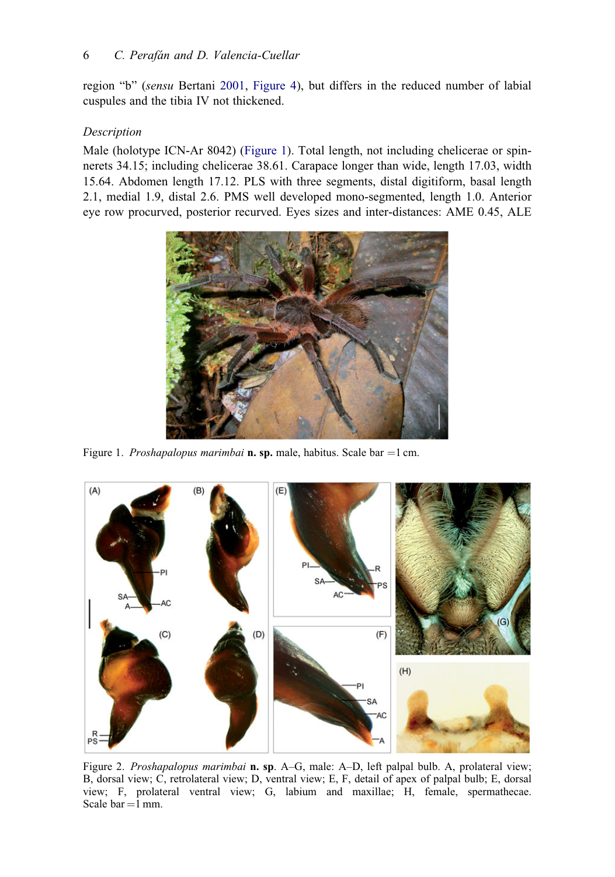region "b" (sensu Bertani [2001,](#page-13-0) Figure 4), but differs in the reduced number of labial cuspules and the tibia IV not thickened.

# Description

Male (holotype ICN-Ar 8042) (Figure 1). Total length, not including chelicerae or spinnerets 34.15; including chelicerae 38.61. Carapace longer than wide, length 17.03, width 15.64. Abdomen length 17.12. PLS with three segments, distal digitiform, basal length 2.1, medial 1.9, distal 2.6. PMS well developed mono-segmented, length 1.0. Anterior eye row procurved, posterior recurved. Eyes sizes and inter-distances: AME 0.45, ALE



Figure 1. Proshapalopus marimbai **n. sp.** male, habitus. Scale bar = 1 cm.



Figure 2. Proshapalopus marimbai n. sp. A–G, male: A–D, left palpal bulb. A, prolateral view; B, dorsal view; C, retrolateral view; D, ventral view; E, F, detail of apex of palpal bulb; E, dorsal view; F, prolateral ventral view; G, labium and maxillae; H, female, spermathecae. Scale bar  $=1$  mm.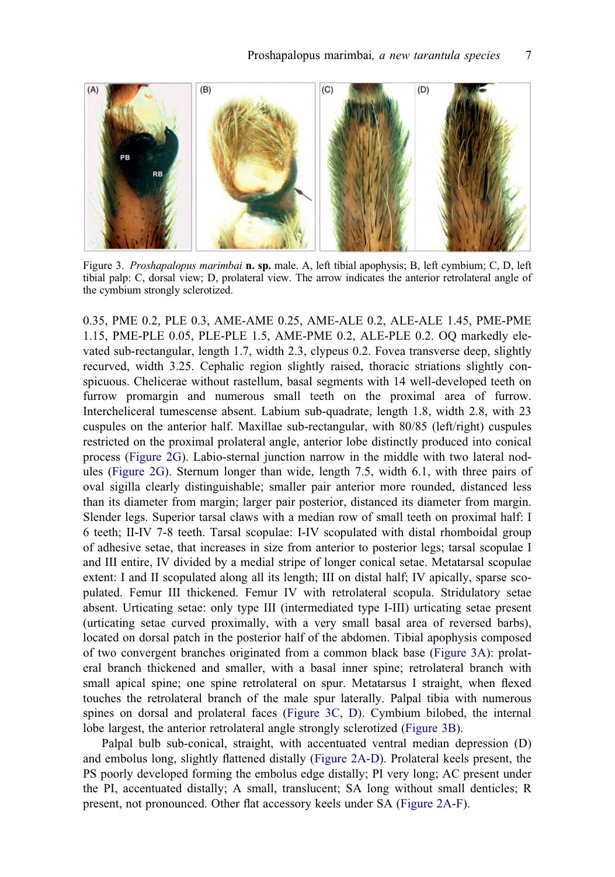

Figure 3. Proshapalopus marimbai n. sp. male. A, left tibial apophysis; B, left cymbium; C, D, left tibial palp: C, dorsal view; D, prolateral view. The arrow indicates the anterior retrolateral angle of the cymbium strongly sclerotized.

0.35, PME 0.2, PLE 0.3, AME-AME 0.25, AME-ALE 0.2, ALE-ALE 1.45, PME-PME 1.15, PME-PLE 0.05, PLE-PLE 1.5, AME-PME 0.2, ALE-PLE 0.2. OQ markedly elevated sub-rectangular, length 1.7, width 2.3, clypeus 0.2. Fovea transverse deep, slightly recurved, width 3.25. Cephalic region slightly raised, thoracic striations slightly conspicuous. Chelicerae without rastellum, basal segments with 14 well-developed teeth on furrow promargin and numerous small teeth on the proximal area of furrow. Intercheliceral tumescense absent. Labium sub-quadrate, length 1.8, width 2.8, with 23 cuspules on the anterior half. Maxillae sub-rectangular, with 80/85 (left/right) cuspules restricted on the proximal prolateral angle, anterior lobe distinctly produced into conical process (Figure 2G). Labio-sternal junction narrow in the middle with two lateral nodules (Figure 2G). Sternum longer than wide, length 7.5, width 6.1, with three pairs of oval sigilla clearly distinguishable; smaller pair anterior more rounded, distanced less than its diameter from margin; larger pair posterior, distanced its diameter from margin. Slender legs. Superior tarsal claws with a median row of small teeth on proximal half: I 6 teeth; II-IV 7-8 teeth. Tarsal scopulae: I-IV scopulated with distal rhomboidal group of adhesive setae, that increases in size from anterior to posterior legs; tarsal scopulae I and III entire, IV divided by a medial stripe of longer conical setae. Metatarsal scopulae extent: I and II scopulated along all its length; III on distal half; IV apically, sparse scopulated. Femur III thickened. Femur IV with retrolateral scopula. Stridulatory setae absent. Urticating setae: only type III (intermediated type I-III) urticating setae present (urticating setae curved proximally, with a very small basal area of reversed barbs), located on dorsal patch in the posterior half of the abdomen. Tibial apophysis composed of two convergent branches originated from a common black base (Figure 3A): prolateral branch thickened and smaller, with a basal inner spine; retrolateral branch with small apical spine; one spine retrolateral on spur. Metatarsus I straight, when flexed touches the retrolateral branch of the male spur laterally. Palpal tibia with numerous spines on dorsal and prolateral faces (Figure 3C, D). Cymbium bilobed, the internal lobe largest, the anterior retrolateral angle strongly sclerotized (Figure 3B).

Palpal bulb sub-conical, straight, with accentuated ventral median depression (D) and embolus long, slightly flattened distally (Figure 2A-D). Prolateral keels present, the PS poorly developed forming the embolus edge distally; PI very long; AC present under the PI, accentuated distally; A small, translucent; SA long without small denticles; R present, not pronounced. Other flat accessory keels under SA (Figure 2A-F).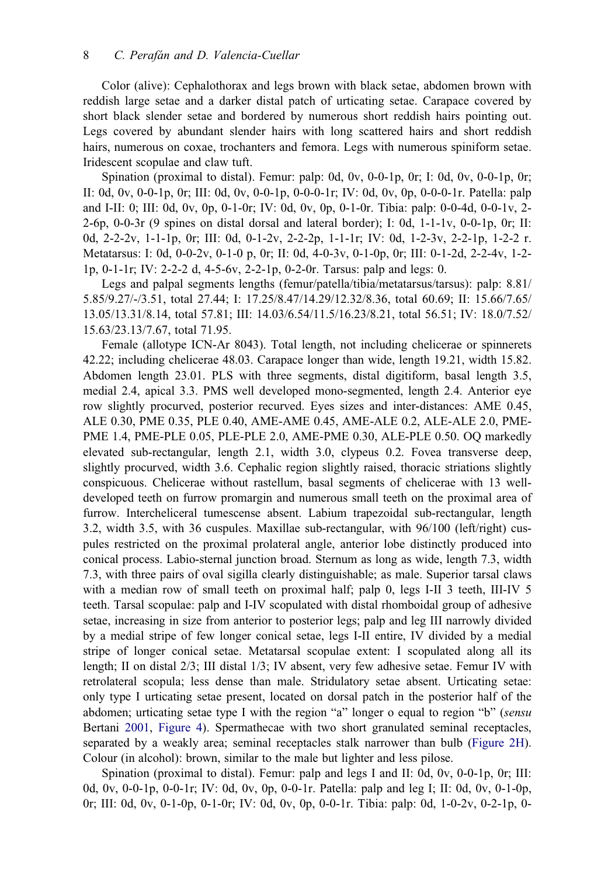Color (alive): Cephalothorax and legs brown with black setae, abdomen brown with reddish large setae and a darker distal patch of urticating setae. Carapace covered by short black slender setae and bordered by numerous short reddish hairs pointing out. Legs covered by abundant slender hairs with long scattered hairs and short reddish hairs, numerous on coxae, trochanters and femora. Legs with numerous spiniform setae. Iridescent scopulae and claw tuft.

Spination (proximal to distal). Femur: palp: 0d, 0v, 0-0-1p, 0r; I: 0d, 0v, 0-0-1p, 0r; II: 0d, 0v, 0-0-1p, 0r; III: 0d, 0v, 0-0-1p, 0-0-0-1r; IV: 0d, 0v, 0p, 0-0-0-1r. Patella: palp and I-II: 0; III: 0d, 0v, 0p, 0-1-0r; IV: 0d, 0v, 0p, 0-1-0r. Tibia: palp: 0-0-4d, 0-0-1v, 2- 2-6p, 0-0-3r (9 spines on distal dorsal and lateral border); I: 0d, 1-1-1v, 0-0-1p, 0r; II: 0d, 2-2-2v, 1-1-1p, 0r; III: 0d, 0-1-2v, 2-2-2p, 1-1-1r; IV: 0d, 1-2-3v, 2-2-1p, 1-2-2 r. Metatarsus: I: 0d, 0-0-2v, 0-1-0 p, 0r; II: 0d, 4-0-3v, 0-1-0p, 0r; III: 0-1-2d, 2-2-4v, 1-2- 1p, 0-1-1r; IV: 2-2-2 d, 4-5-6v, 2-2-1p, 0-2-0r. Tarsus: palp and legs: 0.

Legs and palpal segments lengths (femur/patella/tibia/metatarsus/tarsus): palp: 8.81/ 5.85/9.27/-/3.51, total 27.44; I: 17.25/8.47/14.29/12.32/8.36, total 60.69; II: 15.66/7.65/ 13.05/13.31/8.14, total 57.81; III: 14.03/6.54/11.5/16.23/8.21, total 56.51; IV: 18.0/7.52/ 15.63/23.13/7.67, total 71.95.

Female (allotype ICN-Ar 8043). Total length, not including chelicerae or spinnerets 42.22; including chelicerae 48.03. Carapace longer than wide, length 19.21, width 15.82. Abdomen length 23.01. PLS with three segments, distal digitiform, basal length 3.5, medial 2.4, apical 3.3. PMS well developed mono-segmented, length 2.4. Anterior eye row slightly procurved, posterior recurved. Eyes sizes and inter-distances: AME 0.45, ALE 0.30, PME 0.35, PLE 0.40, AME-AME 0.45, AME-ALE 0.2, ALE-ALE 2.0, PME-PME 1.4, PME-PLE 0.05, PLE-PLE 2.0, AME-PME 0.30, ALE-PLE 0.50. OQ markedly elevated sub-rectangular, length 2.1, width 3.0, clypeus 0.2. Fovea transverse deep, slightly procurved, width 3.6. Cephalic region slightly raised, thoracic striations slightly conspicuous. Chelicerae without rastellum, basal segments of chelicerae with 13 welldeveloped teeth on furrow promargin and numerous small teeth on the proximal area of furrow. Intercheliceral tumescense absent. Labium trapezoidal sub-rectangular, length 3.2, width 3.5, with 36 cuspules. Maxillae sub-rectangular, with 96/100 (left/right) cuspules restricted on the proximal prolateral angle, anterior lobe distinctly produced into conical process. Labio-sternal junction broad. Sternum as long as wide, length 7.3, width 7.3, with three pairs of oval sigilla clearly distinguishable; as male. Superior tarsal claws with a median row of small teeth on proximal half; palp 0, legs I-II 3 teeth, III-IV 5 teeth. Tarsal scopulae: palp and I-IV scopulated with distal rhomboidal group of adhesive setae, increasing in size from anterior to posterior legs; palp and leg III narrowly divided by a medial stripe of few longer conical setae, legs I-II entire, IV divided by a medial stripe of longer conical setae. Metatarsal scopulae extent: I scopulated along all its length; II on distal 2/3; III distal 1/3; IV absent, very few adhesive setae. Femur IV with retrolateral scopula; less dense than male. Stridulatory setae absent. Urticating setae: only type I urticating setae present, located on dorsal patch in the posterior half of the abdomen; urticating setae type I with the region "a" longer o equal to region "b" (sensu Bertani [2001](#page-13-0), Figure 4). Spermathecae with two short granulated seminal receptacles, separated by a weakly area; seminal receptacles stalk narrower than bulb (Figure 2H). Colour (in alcohol): brown, similar to the male but lighter and less pilose.

Spination (proximal to distal). Femur: palp and legs I and II: 0d, 0v, 0-0-1p, 0r; III: 0d, 0v, 0-0-1p, 0-0-1r; IV: 0d, 0v, 0p, 0-0-1r. Patella: palp and leg I; II: 0d, 0v, 0-1-0p, 0r; III: 0d, 0v, 0-1-0p, 0-1-0r; IV: 0d, 0v, 0p, 0-0-1r. Tibia: palp: 0d, 1-0-2v, 0-2-1p, 0-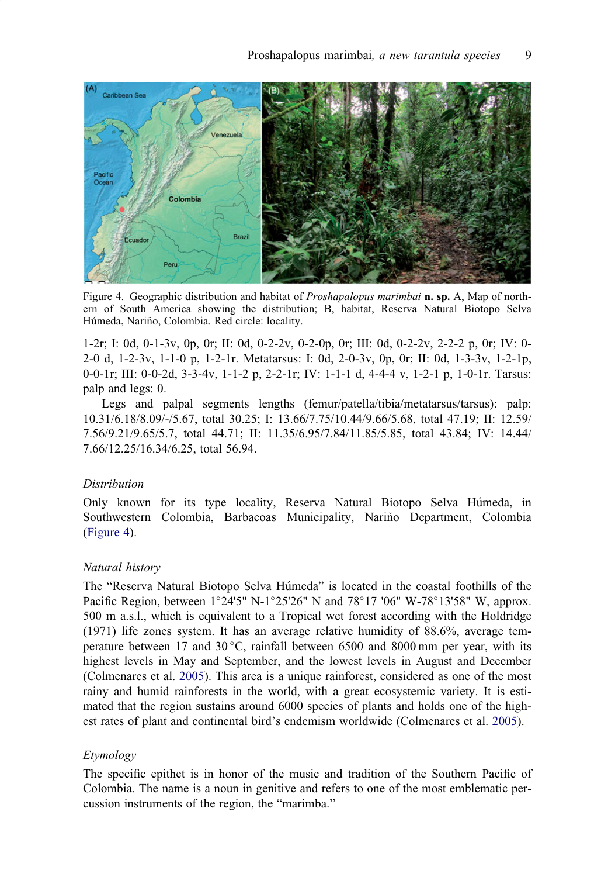<span id="page-9-0"></span>

Figure 4. Geographic distribution and habitat of *Proshapalopus marimbai* **n. sp.** A, Map of northern of South America showing the distribution; B, habitat, Reserva Natural Biotopo Selva Húmeda, Nariño, Colombia. Red circle: locality.

1-2r; I: 0d, 0-1-3v, 0p, 0r; II: 0d, 0-2-2v, 0-2-0p, 0r; III: 0d, 0-2-2v, 2-2-2 p, 0r; IV: 0- 2-0 d, 1-2-3v, 1-1-0 p, 1-2-1r. Metatarsus: I: 0d, 2-0-3v, 0p, 0r; II: 0d, 1-3-3v, 1-2-1p, 0-0-1r; III: 0-0-2d, 3-3-4v, 1-1-2 p, 2-2-1r; IV: 1-1-1 d, 4-4-4 v, 1-2-1 p, 1-0-1r. Tarsus: palp and legs: 0.

Legs and palpal segments lengths (femur/patella/tibia/metatarsus/tarsus): palp: 10.31/6.18/8.09/-/5.67, total 30.25; I: 13.66/7.75/10.44/9.66/5.68, total 47.19; II: 12.59/ 7.56/9.21/9.65/5.7, total 44.71; II: 11.35/6.95/7.84/11.85/5.85, total 43.84; IV: 14.44/ 7.66/12.25/16.34/6.25, total 56.94.

#### Distribution

Only known for its type locality, Reserva Natural Biotopo Selva Humeda, in Southwestern Colombia, Barbacoas Municipality, Nariño Department, Colombia (Figure 4).

## Natural history

The "Reserva Natural Biotopo Selva Humeda" is located in the coastal foothills of the Pacific Region, between  $1^{\circ}24'5''$  N- $1^{\circ}25'26''$  N and  $78^{\circ}17'06''$  W-78<sup> $\circ$ </sup>13'58" W, approx. 500 m a.s.l., which is equivalent to a Tropical wet forest according with the Holdridge (1971) life zones system. It has an average relative humidity of 88.6%, average temperature between 17 and  $30^{\circ}$ C, rainfall between 6500 and 8000 mm per year, with its highest levels in May and September, and the lowest levels in August and December (Colmenares et al. [2005\)](#page-13-0). This area is a unique rainforest, considered as one of the most rainy and humid rainforests in the world, with a great ecosystemic variety. It is estimated that the region sustains around 6000 species of plants and holds one of the highest rates of plant and continental bird's endemism worldwide (Colmenares et al. [2005](#page-13-0)).

#### Etymology

The specific epithet is in honor of the music and tradition of the Southern Pacific of Colombia. The name is a noun in genitive and refers to one of the most emblematic percussion instruments of the region, the "marimba."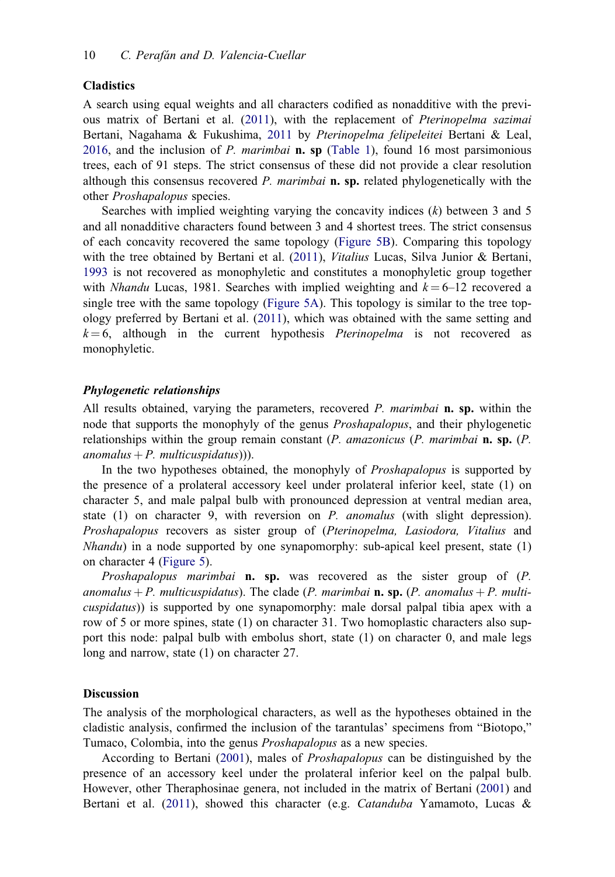#### <span id="page-10-0"></span>Cladistics

A search using equal weights and all characters codified as nonadditive with the previous matrix of Bertani et al. ([2011\)](#page-13-0), with the replacement of Pterinopelma sazimai Bertani, Nagahama & Fukushima, [2011](#page-13-0) by Pterinopelma felipeleitei Bertani & Leal, [2016,](#page-13-0) and the inclusion of P. marimbai **n. sp** ([Table 1\)](#page-4-0), found 16 most parsimonious trees, each of 91 steps. The strict consensus of these did not provide a clear resolution although this consensus recovered  $P$ . marimbai **n. sp.** related phylogenetically with the other Proshapalopus species.

Searches with implied weighting varying the concavity indices  $(k)$  between 3 and 5 and all nonadditive characters found between 3 and 4 shortest trees. The strict consensus of each concavity recovered the same topology (Figure 5B). Comparing this topology with the tree obtained by Bertani et al. ([2011\)](#page-13-0), Vitalius Lucas, Silva Junior & Bertani, [1993](#page-13-0) is not recovered as monophyletic and constitutes a monophyletic group together with *Nhandu* Lucas, 1981. Searches with implied weighting and  $k = 6$ –12 recovered a single tree with the same topology (Figure 5A). This topology is similar to the tree topology preferred by Bertani et al. ([2011\)](#page-13-0), which was obtained with the same setting and  $k = 6$ , although in the current hypothesis *Pterinopelma* is not recovered as monophyletic.

# Phylogenetic relationships

All results obtained, varying the parameters, recovered P. marimbai n. sp. within the node that supports the monophyly of the genus Proshapalopus, and their phylogenetic relationships within the group remain constant  $(P.$  amazonicus  $(P.$  marimbai **n. sp.**  $(P.$ anomalus  $+P$ . multicuspidatus)).

In the two hypotheses obtained, the monophyly of *Proshapalopus* is supported by the presence of a prolateral accessory keel under prolateral inferior keel, state (1) on character 5, and male palpal bulb with pronounced depression at ventral median area, state  $(1)$  on character 9, with reversion on P. anomalus (with slight depression). Proshapalopus recovers as sister group of (Pterinopelma, Lasiodora, Vitalius and  $N$ handu) in a node supported by one synapomorphy: sub-apical keel present, state  $(1)$ on character 4 (Figure 5).

Proshapalopus marimbai n. sp. was recovered as the sister group of (P. anomalus + P. multicuspidatus). The clade (P. marimbai **n. sp.** (P. anomalus + P. multicuspidatus)) is supported by one synapomorphy: male dorsal palpal tibia apex with a row of 5 or more spines, state (1) on character 31. Two homoplastic characters also support this node: palpal bulb with embolus short, state (1) on character 0, and male legs long and narrow, state (1) on character 27.

#### **Discussion**

The analysis of the morphological characters, as well as the hypotheses obtained in the cladistic analysis, confirmed the inclusion of the tarantulas' specimens from "Biotopo," Tumaco, Colombia, into the genus Proshapalopus as a new species.

According to Bertani ([2001\)](#page-13-0), males of Proshapalopus can be distinguished by the presence of an accessory keel under the prolateral inferior keel on the palpal bulb. However, other Theraphosinae genera, not included in the matrix of Bertani [\(2001](#page-13-0)) and Bertani et al. [\(2011](#page-13-0)), showed this character (e.g. *Catanduba* Yamamoto, Lucas &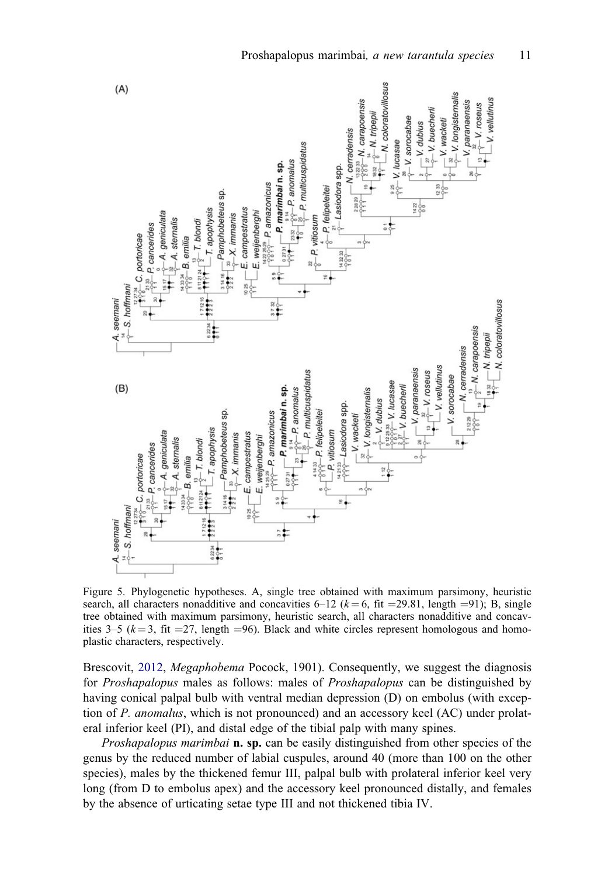

Figure 5. Phylogenetic hypotheses. A, single tree obtained with maximum parsimony, heuristic search, all characters nonadditive and concavities 6–12 ( $k = 6$ , fit = 29.81, length = 91); B, single tree obtained with maximum parsimony, heuristic search, all characters nonadditive and concavities 3–5 ( $k = 3$ , fit = 27, length = 96). Black and white circles represent homologous and homoplastic characters, respectively.

Brescovit, [2012,](#page-14-0) *Megaphobema* Pocock, 1901). Consequently, we suggest the diagnosis for Proshapalopus males as follows: males of Proshapalopus can be distinguished by having conical palpal bulb with ventral median depression (D) on embolus (with exception of P. anomalus, which is not pronounced) and an accessory keel (AC) under prolateral inferior keel (PI), and distal edge of the tibial palp with many spines.

Proshapalopus marimbai **n. sp.** can be easily distinguished from other species of the genus by the reduced number of labial cuspules, around 40 (more than 100 on the other species), males by the thickened femur III, palpal bulb with prolateral inferior keel very long (from D to embolus apex) and the accessory keel pronounced distally, and females by the absence of urticating setae type III and not thickened tibia IV.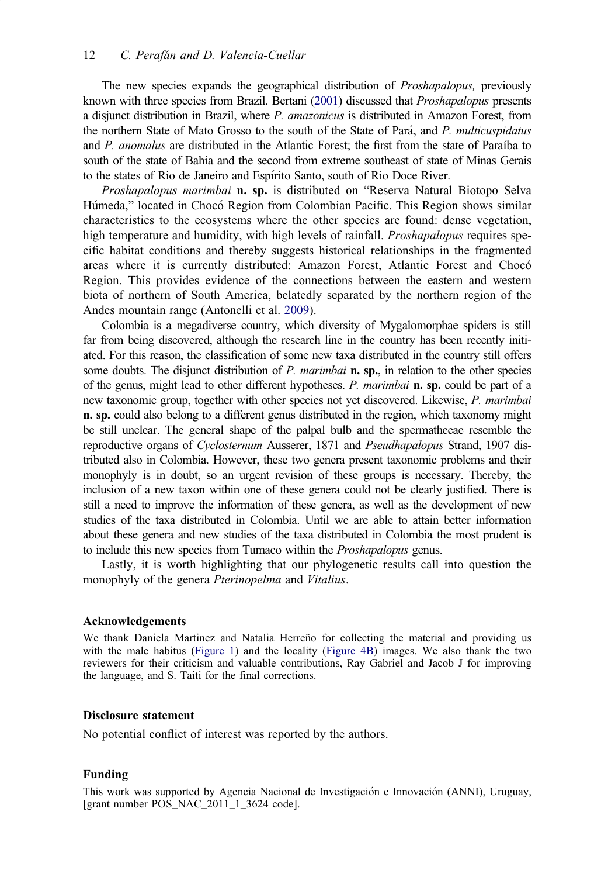<span id="page-12-0"></span>The new species expands the geographical distribution of Proshapalopus, previously known with three species from Brazil. Bertani [\(2001\)](#page-13-0) discussed that Proshapalopus presents a disjunct distribution in Brazil, where P. amazonicus is distributed in Amazon Forest, from the northern State of Mato Grosso to the south of the State of Para, and P. multicuspidatus and P. anomalus are distributed in the Atlantic Forest; the first from the state of Paraíba to south of the state of Bahia and the second from extreme southeast of state of Minas Gerais to the states of Rio de Janeiro and Espírito Santo, south of Rio Doce River.

Proshapalopus marimbai n. sp. is distributed on "Reserva Natural Biotopo Selva Húmeda," located in Chocó Region from Colombian Pacific. This Region shows similar characteristics to the ecosystems where the other species are found: dense vegetation, high temperature and humidity, with high levels of rainfall. *Proshapalopus* requires specific habitat conditions and thereby suggests historical relationships in the fragmented areas where it is currently distributed: Amazon Forest, Atlantic Forest and Choco Region. This provides evidence of the connections between the eastern and western biota of northern of South America, belatedly separated by the northern region of the Andes mountain range (Antonelli et al. [2009](#page-13-0)).

Colombia is a megadiverse country, which diversity of Mygalomorphae spiders is still far from being discovered, although the research line in the country has been recently initiated. For this reason, the classification of some new taxa distributed in the country still offers some doubts. The disjunct distribution of P. marimbai  $\bf{n}$ ,  $\bf{sp}$ , in relation to the other species of the genus, might lead to other different hypotheses. P. marimbai n. sp. could be part of a new taxonomic group, together with other species not yet discovered. Likewise, P. marimbai n. sp. could also belong to a different genus distributed in the region, which taxonomy might be still unclear. The general shape of the palpal bulb and the spermathecae resemble the reproductive organs of Cyclosternum Ausserer, 1871 and Pseudhapalopus Strand, 1907 distributed also in Colombia. However, these two genera present taxonomic problems and their monophyly is in doubt, so an urgent revision of these groups is necessary. Thereby, the inclusion of a new taxon within one of these genera could not be clearly justified. There is still a need to improve the information of these genera, as well as the development of new studies of the taxa distributed in Colombia. Until we are able to attain better information about these genera and new studies of the taxa distributed in Colombia the most prudent is to include this new species from Tumaco within the Proshapalopus genus.

Lastly, it is worth highlighting that our phylogenetic results call into question the monophyly of the genera Pterinopelma and Vitalius.

#### Acknowledgements

We thank Daniela Martinez and Natalia Herreño for collecting the material and providing us with the male habitus (Figure 1) and the locality (Figure 4B) images. We also thank the two reviewers for their criticism and valuable contributions, Ray Gabriel and Jacob J for improving the language, and S. Taiti for the final corrections.

# Disclosure statement

No potential conflict of interest was reported by the authors.

#### Funding

This work was supported by Agencia Nacional de Investigacion e Innovacion (ANNI), Uruguay, [grant number POS\_NAC\_2011\_1\_3624 code].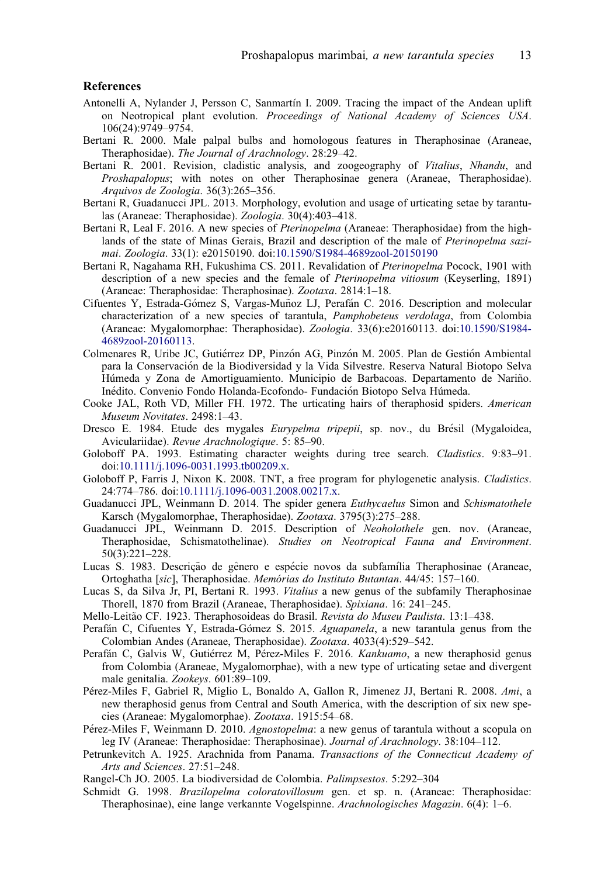#### <span id="page-13-0"></span>References

- Antonelli A, Nylander J, Persson C, Sanmartín I. [2009.](#page-12-0) Tracing the impact of the Andean uplift on Neotropical plant evolution. Proceedings of National Academy of Sciences USA. 106(24):9749–9754.
- Bertani R. [2000.](#page-2-0) Male palpal bulbs and homologous features in Theraphosinae (Araneae, Theraphosidae). The Journal of Arachnology. 28:29–42.
- Bertani R. [2001.](#page-2-0) Revision, cladistic analysis, and zoogeography of Vitalius, Nhandu, and Proshapalopus; with notes on other Theraphosinae genera (Araneae, Theraphosidae). Arquivos de Zoologia. 36(3):265–356.
- Bertani R, Guadanucci JPL. [2013](#page-2-0). Morphology, evolution and usage of urticating setae by tarantulas (Araneae: Theraphosidae). Zoologia. 30(4):403–418.
- Bertani R, Leal F. [2016.](#page-3-0) A new species of *Pterinopelma* (Araneae: Theraphosidae) from the highlands of the state of Minas Gerais, Brazil and description of the male of Pterinopelma sazimai. Zoologia. 33(1): e20150190. doi[:10.1590/S1984-4689zool-20150190](https://doi.org/10.1590/S1984-4689zool-20150190)
- Bertani R, Nagahama RH, Fukushima CS. [2011](#page-2-0). Revalidation of *Pterinopelma* Pocock, 1901 with description of a new species and the female of Pterinopelma vitiosum (Keyserling, 1891) (Araneae: Theraphosidae: Theraphosinae). Zootaxa. 2814:1–18.
- Cifuentes Y, Estrada-Gómez S, Vargas-Muñoz LJ, Perafán C, [2016](#page-2-0). Description and molecular characterization of a new species of tarantula, Pamphobeteus verdolaga, from Colombia (Araneae: Mygalomorphae: Theraphosidae). Zoologia. 33(6):e20160113. doi:[10.1590/S1984-](https://doi.org/10.1590/S1984-4689zool-20160113) [4689zool-20160113](https://doi.org/10.1590/S1984-4689zool-20160113).
- Colmenares R, Uribe JC, Gutierrez DP, Pinzon AG, Pinzon M. [2005.](#page-9-0) Plan de Gestion Ambiental para la Conservacion de la Biodiversidad y la Vida Silvestre. Reserva Natural Biotopo Selva Húmeda y Zona de Amortiguamiento. Municipio de Barbacoas. Departamento de Nariño. Inedito. Convenio Fondo Holanda-Ecofondo- Fundacion Biotopo Selva Humeda.
- Cooke JAL, Roth VD, Miller FH. [1972](#page-2-0). The urticating hairs of theraphosid spiders. American Museum Novitates. 2498:1–43.
- Dresco E. [1984](#page-4-0). Etude des mygales *Eurypelma tripepii*, sp. nov., du Brésil (Mygaloidea, Aviculariidae). Revue Arachnologique. 5: 85–90.
- Goloboff PA. [1993](#page-3-0). Estimating character weights during tree search. Cladistics. 9:83–91. doi:[10.1111/j.1096-0031.1993.tb00209.x.](https://doi.org/10.1111/j.1096-0031.1993.tb00209.x)
- Goloboff P, Farris J, Nixon K. [2008.](#page-3-0) TNT, a free program for phylogenetic analysis. Cladistics. 24:774–786. doi:[10.1111/j.1096-0031.2008.00217.x.](https://doi.org/10.1111/j.1096-0031.2008.00217.x)
- Guadanucci JPL, Weinmann D. [2014.](#page-2-0) The spider genera Euthycaelus Simon and Schismatothele Karsch (Mygalomorphae, Theraphosidae). Zootaxa. 3795(3):275–288.
- Guadanucci JPL, Weinmann D. [2015.](#page-2-0) Description of Neoholothele gen. nov. (Araneae, Theraphosidae, Schismatothelinae). Studies on Neotropical Fauna and Environment. 50(3):221–228.
- Lucas S. [1983.](#page-4-0) Descrição de gênero e espécie novos da subfamília Theraphosinae (Araneae, Ortoghatha [sic], Theraphosidae. Memórias do Instituto Butantan. 44/45: 157-160.
- Lucas S, da Silva Jr, PI, Bertani R. 1993. Vitalius a new genus of the subfamily Theraphosinae Thorell, 1870 from Brazil (Araneae, Theraphosidae). Spixiana. 16: 241–245.
- Mello-Leitão CF. [1923.](#page-1-0) Theraphosoideas do Brasil. Revista do Museu Paulista. 13:1–438.
- Perafán C, Cifuentes Y, Estrada-Gómez S. [2015.](#page-2-0) Aguapanela, a new tarantula genus from the Colombian Andes (Araneae, Theraphosidae). Zootaxa. 4033(4):529–542.
- Perafán C, Galvis W, Gutiérrez M, Pérez-Miles F. [2016](#page-2-0). Kankuamo, a new theraphosid genus from Colombia (Araneae, Mygalomorphae), with a new type of urticating setae and divergent male genitalia. Zookeys. 601:89–109.
- Perez-Miles F, Gabriel R, Miglio L, Bonaldo A, Gallon R, Jimenez JJ, Bertani R. [2008.](#page-2-0) Ami, a new theraphosid genus from Central and South America, with the description of six new species (Araneae: Mygalomorphae). Zootaxa. 1915:54–68.
- Pérez-Miles F, Weinmann D. [2010.](#page-2-0) Agnostopelma: a new genus of tarantula without a scopula on leg IV (Araneae: Theraphosidae: Theraphosinae). Journal of Arachnology. 38:104–112.
- Petrunkevitch A. [1925.](#page-2-0) Arachnida from Panama. Transactions of the Connecticut Academy of Arts and Sciences. 27:51–248.
- Rangel-Ch JO. [2005](#page-1-0). La biodiversidad de Colombia. Palimpsestos. 5:292–304
- Schmidt G. [1998.](#page-4-0) Brazilopelma coloratovillosum gen. et sp. n. (Araneae: Theraphosidae: Theraphosinae), eine lange verkannte Vogelspinne. Arachnologisches Magazin. 6(4): 1–6.